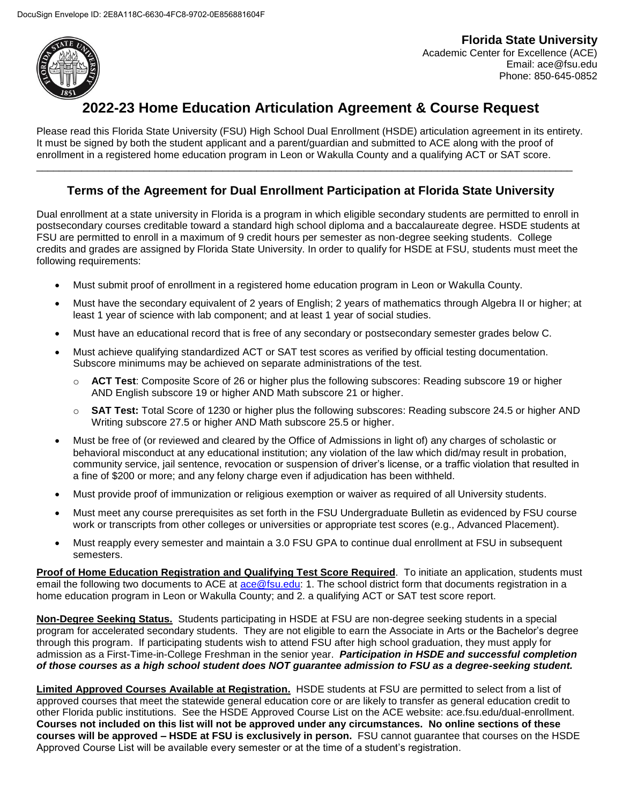

**Florida State University**  Academic Center for Excellence (ACE) Email: ace@fsu.edu Phone: 850-645-0852

# $\overline{\phantom{a}$ 2022-23 Home Education Articulation Agreement & Course Request

Please read this Florida State University (FSU) High School Dual Enrollment (HSDE) articulation agreement in its entirety. It must be signed by both the student applicant and a parent/guardian and submitted to ACE along with the proof of enrollment in a registered home education program in Leon or Wakulla County and a qualifying ACT or SAT score.

\_\_\_\_\_\_\_\_\_\_\_\_\_\_\_\_\_\_\_\_\_\_\_\_\_\_\_\_\_\_\_\_\_\_\_\_\_\_\_\_\_\_\_\_\_\_\_\_\_\_\_\_\_\_\_\_\_\_\_\_\_\_\_\_\_\_\_\_\_\_\_\_\_\_\_\_\_\_\_\_\_\_\_\_\_\_\_\_\_\_\_\_\_\_\_

## **Terms of the Agreement for Dual Enrollment Participation at Florida State University**

Dual enrollment at a state university in Florida is a program in which eligible secondary students are permitted to enroll in postsecondary courses creditable toward a standard high school diploma and a baccalaureate degree. HSDE students at FSU are permitted to enroll in a maximum of 9 credit hours per semester as non-degree seeking students. College credits and grades are assigned by Florida State University. In order to qualify for HSDE at FSU, students must meet the following requirements:

- Must submit proof of enrollment in a registered home education program in Leon or Wakulla County.
- Must have the secondary equivalent of 2 years of English; 2 years of mathematics through Algebra II or higher; at least 1 year of science with lab component; and at least 1 year of social studies.
- Must have an educational record that is free of any secondary or postsecondary semester grades below C.
- Must achieve qualifying standardized ACT or SAT test scores as verified by official testing documentation. Subscore minimums may be achieved on separate administrations of the test.
	- o **ACT Test**: Composite Score of 26 or higher plus the following subscores: Reading subscore 19 or higher AND English subscore 19 or higher AND Math subscore 21 or higher.
	- o **SAT Test:** Total Score of 1230 or higher plus the following subscores: Reading subscore 24.5 or higher AND Writing subscore 27.5 or higher AND Math subscore 25.5 or higher.
- Must be free of (or reviewed and cleared by the Office of Admissions in light of) any charges of scholastic or behavioral misconduct at any educational institution; any violation of the law which did/may result in probation, community service, jail sentence, revocation or suspension of driver's license, or a traffic violation that resulted in a fine of \$200 or more; and any felony charge even if adjudication has been withheld.
- Must provide proof of immunization or religious exemption or waiver as required of all University students.
- Must meet any course prerequisites as set forth in the FSU Undergraduate Bulletin as evidenced by FSU course work or transcripts from other colleges or universities or appropriate test scores (e.g., Advanced Placement).
- Must reapply every semester and maintain a 3.0 FSU GPA to continue dual enrollment at FSU in subsequent semesters.

**Proof of Home Education Registration and Qualifying Test Score Required**. To initiate an application, students must email the following two documents to ACE at ace@fsu.edu: 1. The school district form that documents registration in a home education program in Leon or Wakulla County; and 2. a qualifying ACT or SAT test score report.

**Non-Degree Seeking Status.** Students participating in HSDE at FSU are non-degree seeking students in a special program for accelerated secondary students. They are not eligible to earn the Associate in Arts or the Bachelor's degree through this program. If participating students wish to attend FSU after high school graduation, they must apply for admission as a First-Time-in-College Freshman in the senior year. *Participation in HSDE and successful completion of those courses as a high school student does NOT guarantee admission to FSU as a degree-seeking student.*

**Limited Approved Courses Available at Registration.** HSDE students at FSU are permitted to select from a list of approved courses that meet the statewide general education core or are likely to transfer as general education credit to other Florida public institutions. See the HSDE Approved Course List on the ACE website: ace.fsu.edu/dual-enrollment. **Courses not included on this list will not be approved under any circumstances. No online sections of these courses will be approved – HSDE at FSU is exclusively in person.** FSU cannot guarantee that courses on the HSDE Approved Course List will be available every semester or at the time of a student's registration.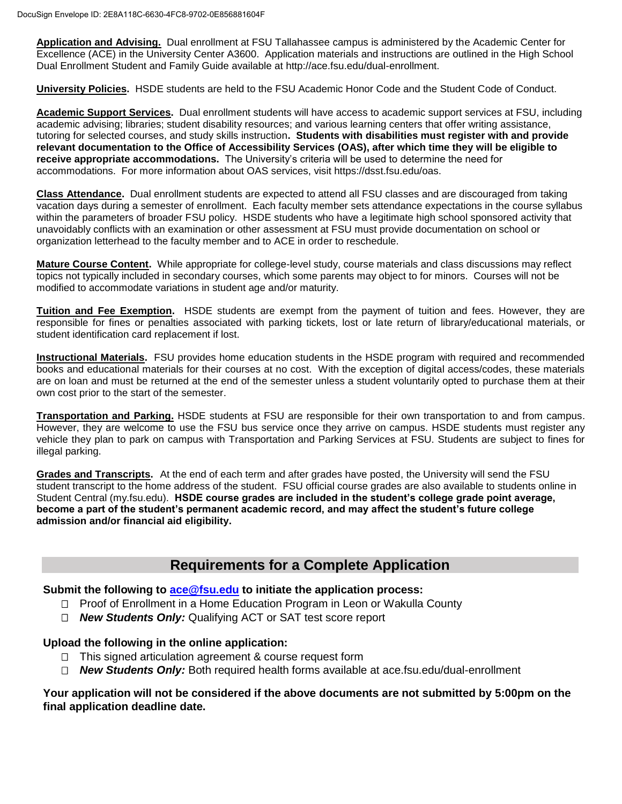**Application and Advising.** Dual enrollment at FSU Tallahassee campus is administered by the Academic Center for Excellence (ACE) in the University Center A3600. Application materials and instructions are outlined in the High School Dual Enrollment Student and Family Guide available at http://ace.fsu.edu/dual-enrollment.

**University Policies.** HSDE students are held to the FSU Academic Honor Code and the Student Code of Conduct.

**Academic Support Services.** Dual enrollment students will have access to academic support services at FSU, including academic advising; libraries; student disability resources; and various learning centers that offer writing assistance, tutoring for selected courses, and study skills instruction**. Students with disabilities must register with and provide relevant documentation to the Office of Accessibility Services (OAS), after which time they will be eligible to receive appropriate accommodations.** The University's criteria will be used to determine the need for accommodations. For more information about OAS services, visit https://dsst.fsu.edu/oas.

**Class Attendance.** Dual enrollment students are expected to attend all FSU classes and are discouraged from taking vacation days during a semester of enrollment. Each faculty member sets attendance expectations in the course syllabus within the parameters of broader FSU policy. HSDE students who have a legitimate high school sponsored activity that unavoidably conflicts with an examination or other assessment at FSU must provide documentation on school or organization letterhead to the faculty member and to ACE in order to reschedule.

**Mature Course Content.** While appropriate for college-level study, course materials and class discussions may reflect topics not typically included in secondary courses, which some parents may object to for minors. Courses will not be modified to accommodate variations in student age and/or maturity.

**Tuition and Fee Exemption.** HSDE students are exempt from the payment of tuition and fees. However, they are responsible for fines or penalties associated with parking tickets, lost or late return of library/educational materials, or student identification card replacement if lost.

**Instructional Materials.** FSU provides home education students in the HSDE program with required and recommended books and educational materials for their courses at no cost. With the exception of digital access/codes, these materials are on loan and must be returned at the end of the semester unless a student voluntarily opted to purchase them at their own cost prior to the start of the semester.

**Transportation and Parking.** HSDE students at FSU are responsible for their own transportation to and from campus. However, they are welcome to use the FSU bus service once they arrive on campus. HSDE students must register any vehicle they plan to park on campus with Transportation and Parking Services at FSU. Students are subject to fines for illegal parking.

**Grades and Transcripts.** At the end of each term and after grades have posted, the University will send the FSU student transcript to the home address of the student. FSU official course grades are also available to students online in Student Central (my.fsu.edu). **HSDE course grades are included in the student's college grade point average, become a part of the student's permanent academic record, and may affect the student's future college admission and/or financial aid eligibility.**

## **Requirements for a Complete Application**

**Submit the following to ace@fsu.edu to initiate the application process:**

- $\Box$  Proof of Enrollment in a Home Education Program in Leon or Wakulla County
- *New Students Only:* Qualifying ACT or SAT test score report

### **Upload the following in the online application:**

- $\Box$  This signed articulation agreement & course request form
- *New Students Only:* Both required health forms available at ace.fsu.edu/dual-enrollment

#### **Your application will not be considered if the above documents are not submitted by 5:00pm on the final application deadline date.**